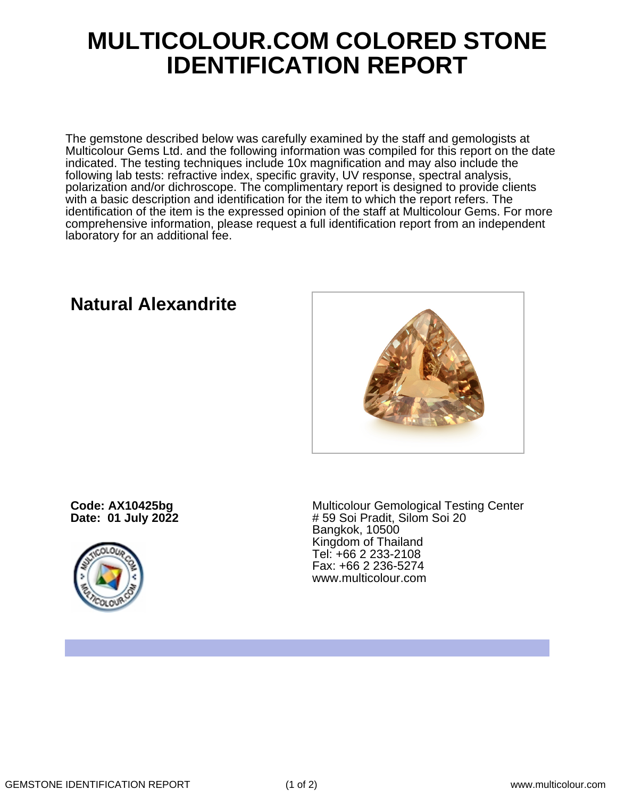## **MULTICOLOUR.COM COLORED STONE IDENTIFICATION REPORT**

The gemstone described below was carefully examined by the staff and gemologists at Multicolour Gems Ltd. and the following information was compiled for this report on the date indicated. The testing techniques include 10x magnification and may also include the following lab tests: refractive index, specific gravity, UV response, spectral analysis, polarization and/or dichroscope. The complimentary report is designed to provide clients with a basic description and identification for the item to which the report refers. The identification of the item is the expressed opinion of the staff at Multicolour Gems. For more comprehensive information, please request a full identification report from an independent laboratory for an additional fee.

## **Natural Alexandrite**

**Code: AX10425bg Date: 01 July 2022**



Multicolour Gemological Testing Center # 59 Soi Pradit, Silom Soi 20 Bangkok, 10500 Kingdom of Thailand Tel: +66 2 233-2108 Fax: +66 2 236-5274 www.multicolour.com